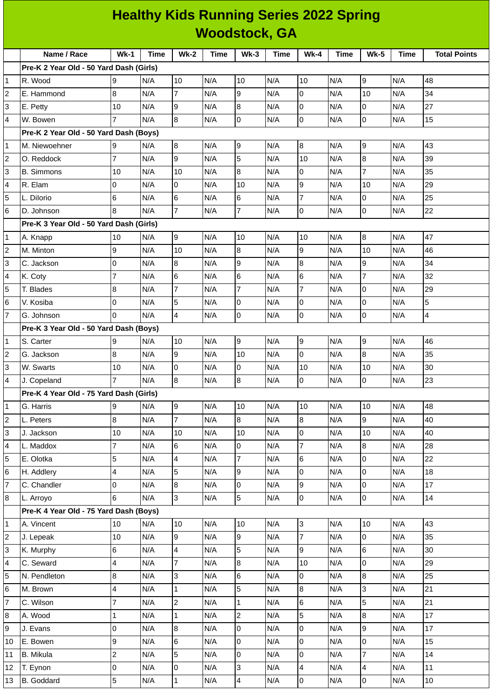|                | <b>Healthy Kids Running Series 2022 Spring</b> |                          |      |                         |             |                |      |                          |      |                          |                         |                     |
|----------------|------------------------------------------------|--------------------------|------|-------------------------|-------------|----------------|------|--------------------------|------|--------------------------|-------------------------|---------------------|
|                | <b>Woodstock, GA</b>                           |                          |      |                         |             |                |      |                          |      |                          |                         |                     |
|                | Name / Race                                    | $Wk-1$                   | Time | $Wk-2$                  | <b>Time</b> | $Wk-3$         | Time | $Wk-4$                   | Time | <b>Wk-5</b>              | Time                    | <b>Total Points</b> |
|                | Pre-K 2 Year Old - 50 Yard Dash (Girls)        |                          |      |                         |             |                |      |                          |      |                          |                         |                     |
| $\mathbf{1}$   | R. Wood                                        | 9                        | N/A  | 10                      | N/A         | 10             | N/A  | 10                       | N/A  | 9                        | N/A                     | 48                  |
| $\overline{c}$ | E. Hammond                                     | 8                        | N/A  | $\overline{7}$          | N/A         | 9              | N/A  | $\mathsf{O}$             | N/A  | 10                       | N/A                     | 34                  |
| 3              | E. Petty                                       | 10                       | N/A  | 9                       | N/A         | 8              | N/A  | 0                        | N/A  | $\overline{0}$           | N/A                     | 27                  |
| 4              | W. Bowen                                       | $\overline{7}$           | N/A  | $\bf{8}$                | N/A         | $\overline{0}$ | N/A  | $\mathsf 0$              | N/A  | 0                        | N/A                     | 15                  |
|                | Pre-K 2 Year Old - 50 Yard Dash (Boys)         |                          |      |                         |             |                |      |                          |      |                          |                         |                     |
| $\mathbf{1}$   | M. Niewoehner                                  | 9                        | N/A  | $\bf{8}$                | N/A         | 9              | N/A  | $\bf{8}$                 | N/A  | 9                        | N/A                     | 43                  |
| 2              | O. Reddock                                     | $\overline{7}$           | N/A  | 9                       | N/A         | 5              | N/A  | 10                       | N/A  | 8                        | N/A                     | 39                  |
| 3              | <b>B.</b> Simmons                              | 10                       | N/A  | 10                      | N/A         | 8              | N/A  | 0                        | N/A  | $\overline{7}$           | N/A                     | 35                  |
| 4              | R. Elam                                        | 0                        | N/A  | $\overline{0}$          | N/A         | 10             | N/A  | 9                        | N/A  | 10                       | N/A                     | 29                  |
| 5              | L. Dilorio                                     | 6                        | N/A  | $\,$ 6                  | N/A         | 6              | N/A  | $\overline{7}$           | N/A  | 0                        | N/A                     | 25                  |
| 6              | D. Johnson                                     | 8                        | N/A  | $\overline{7}$          | N/A         | $\overline{7}$ | N/A  | 0                        | N/A  | $\mathsf 0$              | N/A                     | 22                  |
|                | Pre-K 3 Year Old - 50 Yard Dash (Girls)        |                          |      |                         |             |                |      |                          |      |                          |                         |                     |
| $\mathbf{1}$   | A. Knapp                                       | 10                       | N/A  | 9                       | N/A         | 10             | N/A  | 10                       | N/A  | $\overline{8}$           | N/A                     | 47                  |
| $\overline{c}$ | M. Minton                                      | 9                        | N/A  | 10                      | N/A         | 8              | N/A  | 9                        | N/A  | 10                       | N/A                     | 46                  |
| 3              | C. Jackson                                     | 0                        | N/A  | $\, 8$                  | N/A         | 9              | N/A  | $\boldsymbol{8}$         | N/A  | 9                        | N/A                     | 34                  |
| 4              | K. Coty                                        | $\overline{7}$           | N/A  | $6\phantom{.}6$         | N/A         | 6              | N/A  | $\,6$                    | N/A  | $\overline{7}$           | N/A                     | 32                  |
| 5              | T. Blades                                      | 8                        | N/A  | $\overline{7}$          | N/A         | $\overline{7}$ | N/A  | $\overline{7}$           | N/A  | 0                        | N/A                     | 29                  |
| 6              | V. Kosiba                                      | 0                        | N/A  | 5                       | N/A         | $\overline{0}$ | N/A  | 0                        | N/A  | 0                        | N/A                     | 5                   |
| $\overline{7}$ | G. Johnson                                     | 0                        | N/A  | $\overline{4}$          | N/A         | 0              | N/A  | 0                        | N/A  | 0                        | N/A                     | 4                   |
|                | Pre-K 3 Year Old - 50 Yard Dash (Boys)         |                          |      |                         |             |                |      |                          |      |                          |                         |                     |
| $\mathbf{1}$   | S. Carter                                      | 9                        | N/A  | 10                      | N/A         | 9              | N/A  | 9                        | N/A  | 9                        | N/A                     | 46                  |
| $\overline{c}$ | G. Jackson                                     | 8                        | N/A  | 9                       | N/A         | 10             | N/A  | 0                        | N/A  | 8                        | N/A                     | 35                  |
| 3              | W. Swarts                                      | 10                       | N/A  | 0                       | N/A         | 0              | N/A  | $10\,$                   | N/A  | 10                       | N/A                     | 30                  |
| 4              | J. Copeland                                    | $\overline{7}$           | N/A  | 8                       | N/A         | $\bf{8}$       | N/A  | 0                        | N/A  | l0                       | N/A                     | 23                  |
|                | Pre-K 4 Year Old - 75 Yard Dash (Girls)        |                          |      |                         |             |                |      |                          |      |                          |                         |                     |
| 1              | G. Harris                                      | 9                        | N/A  | 9                       | N/A         | 10             | N/A  | 10                       | N/A  | 10                       | N/A                     | 48                  |
| $\overline{c}$ | L. Peters                                      | 8                        | N/A  | $\overline{7}$          | N/A         | $8\,$          | N/A  | $\, 8$                   | N/A  | 9                        | N/A                     | 40                  |
| 3              | J. Jackson                                     | $10\,$                   | N/A  | 10                      | N/A         | 10             | N/A  | 0                        | N/A  | $10\,$                   | N/A                     | 40                  |
| 4              | L. Maddox                                      | $\overline{7}$           | N/A  | 6                       | N/A         | $\overline{0}$ | N/A  | $\overline{7}$           | N/A  | 8                        | N/A                     | 28                  |
| 5              | E. Olotka                                      | 5                        | N/A  | $\overline{4}$          | N/A         | $\overline{7}$ | N/A  | 6                        | N/A  | 0                        | N/A                     | 22                  |
| 6              | H. Addlery                                     | 4                        | N/A  | 5                       | N/A         | 9              | N/A  | $\mathsf{O}\xspace$      | N/A  | 0                        | N/A                     | 18                  |
| $\overline{7}$ | C. Chandler                                    | 0                        | N/A  | $\overline{8}$          | N/A         | $\overline{0}$ | N/A  | 9                        | N/A  | 0                        | N/A                     | 17                  |
| 8              | L. Arroyo                                      | 6                        | N/A  | $\overline{3}$          | N/A         | $\overline{5}$ | N/A  | $\mathsf 0$              | N/A  | $\overline{0}$           | N/A                     | 14                  |
|                | Pre-K 4 Year Old - 75 Yard Dash (Boys)         |                          |      |                         |             |                |      |                          |      |                          |                         |                     |
| $\mathbf 1$    | A. Vincent                                     | 10                       | N/A  | 10                      | N/A         | 10             | N/A  | $\overline{3}$           | N/A  | 10                       | N/A                     | 43                  |
| $\overline{c}$ | J. Lepeak                                      | 10                       | N/A  | $\overline{9}$          | N/A         | 9              | N/A  | $\overline{7}$           | N/A  | $\mathsf{O}$             | N/A                     | 35                  |
| 3              | K. Murphy                                      | 6                        | N/A  | $\overline{\mathbf{4}}$ | N/A         | 5              | N/A  | 9                        | N/A  | 6                        | N/A                     | 30                  |
| 4              | C. Seward                                      | $\overline{\mathcal{L}}$ | N/A  | $\overline{7}$          | N/A         | 8              | N/A  | 10                       | N/A  | 0                        | N/A                     | 29                  |
| 5              | N. Pendleton                                   | 8                        | N/A  | $\overline{3}$          | N/A         | 6              | N/A  | $\mathsf{O}\xspace$      | N/A  | 8                        | N/A                     | 25                  |
| 6              | M. Brown                                       | 4                        | N/A  | $\mathbf{1}$            | N/A         | 5              | N/A  | 8                        | N/A  | 3                        | N/A                     | 21                  |
| $\overline{7}$ | C. Wilson                                      | $\overline{7}$           | N/A  | $\overline{2}$          | N/A         | $\mathbf 1$    | N/A  | $\,6$                    | N/A  | 5                        | N/A                     | 21                  |
| 8              | A. Wood                                        | 1                        | N/A  | $\mathbf 1$             | N/A         | $\overline{c}$ | N/A  | 5                        | N/A  | 8                        | N/A                     | 17                  |
| 9              | J. Evans                                       | 0                        | N/A  | $\overline{8}$          | N/A         | $\overline{0}$ | N/A  | $\mathsf{O}\xspace$      | N/A  | 9                        | N/A                     | 17                  |
| 10             | E. Bowen                                       | 9                        | N/A  | $6\phantom{.}6$         | N/A         | $\overline{0}$ | N/A  | $\mathsf{O}$             | N/A  | 0                        | N/A                     | 15                  |
| 11             | <b>B.</b> Mikula                               | $\overline{c}$           | N/A  | 5                       | N/A         | $\overline{0}$ | N/A  | $\mathsf 0$              | N/A  | 7                        | N/A                     | 14                  |
| 12             | T. Eynon                                       | 0                        | N/A  | $\overline{0}$          | N/A         | 3              | N/A  | $\overline{\mathcal{A}}$ | N/A  | $\overline{\mathcal{A}}$ | N/A                     | $11\,$              |
| 13             | <b>B.</b> Goddard                              | 5                        | N/A  | $\mathbf{1}$            | N/A         | $\overline{a}$ | N/A  | $\mathsf{O}\xspace$      | N/A  | $\overline{0}$           | $\mathsf{N}/\mathsf{A}$ | $10\,$              |
|                |                                                |                          |      |                         |             |                |      |                          |      |                          |                         |                     |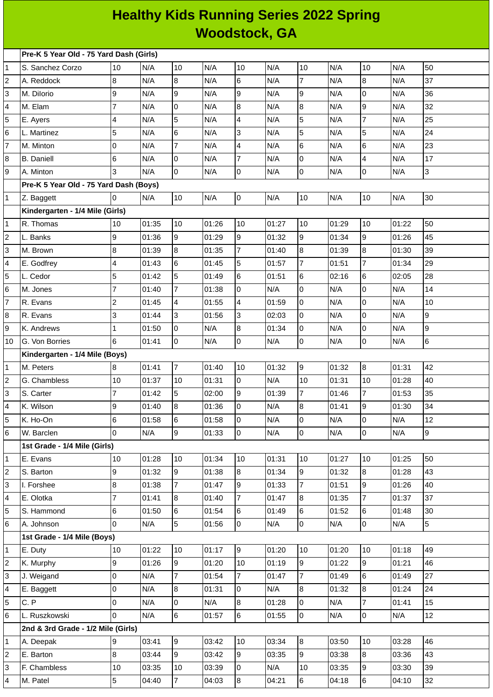## **Healthy Kids Running Series 2022 Spring Woodstock, GA**

|                | Pre-K 5 Year Old - 75 Yard Dash (Girls) |                |       |                 |       |                          |       |                |       |                          |       |    |
|----------------|-----------------------------------------|----------------|-------|-----------------|-------|--------------------------|-------|----------------|-------|--------------------------|-------|----|
| 1              | S. Sanchez Corzo                        | 10             | N/A   | 10              | N/A   | 10                       | N/A   | 10             | N/A   | 10                       | N/A   | 50 |
| 2              | A. Reddock                              | 8              | N/A   | $\overline{8}$  | N/A   | $6\overline{6}$          | N/A   | $\overline{7}$ | N/A   | 8                        | N/A   | 37 |
| 3              | M. Dilorio                              | 9              | N/A   | 9               | N/A   | g                        | N/A   | $\overline{9}$ | N/A   | 0                        | N/A   | 36 |
| 4              | M. Elam                                 | $\overline{7}$ | N/A   | $\overline{0}$  | N/A   | $\overline{8}$           | N/A   | $\bf{8}$       | N/A   | 9                        | N/A   | 32 |
| 5              | E. Ayers                                | $\overline{4}$ | N/A   | 5               | N/A   | $\overline{\mathcal{A}}$ | N/A   | 5              | N/A   | $\overline{7}$           | N/A   | 25 |
| 6              | L. Martinez                             | 5              | N/A   | $6\phantom{.}$  | N/A   | 3                        | N/A   | 5              | N/A   | 5                        | N/A   | 24 |
| 7              | M. Minton                               | O              | N/A   | $\overline{7}$  | N/A   | $\overline{\mathcal{A}}$ | N/A   | 6              | N/A   | 6                        | N/A   | 23 |
| 8              | <b>B.</b> Daniell                       | 6              | N/A   | $\overline{0}$  | N/A   | $\overline{7}$           | N/A   | lo             | N/A   | $\overline{\mathcal{L}}$ | N/A   | 17 |
| 9              | A. Minton                               | 3              | N/A   | $\overline{0}$  | N/A   | l0                       | N/A   | lo             | N/A   | 0                        | N/A   | 3  |
|                | Pre-K 5 Year Old - 75 Yard Dash (Boys)  |                |       |                 |       |                          |       |                |       |                          |       |    |
| 1              | Z. Baggett                              | $\Omega$       | N/A   | 10              | N/A   | 0                        | N/A   | 10             | N/A   | 10                       | N/A   | 30 |
|                | Kindergarten - 1/4 Mile (Girls)         |                |       |                 |       |                          |       |                |       |                          |       |    |
| 1              | R. Thomas                               | 10             | 01:35 | 10              | 01:26 | 10                       | 01:27 | 10             | 01:29 | 10                       | 01:22 | 50 |
| 2              | L. Banks                                | 9              | 01:36 | $\overline{9}$  | 01:29 | g                        | 01:32 | l9             | 01:34 | 9                        | 01:26 | 45 |
| 3              | M. Brown                                | 8              | 01:39 | $8\,$           | 01:35 | $\overline{7}$           | 01:40 | 8              | 01:39 | 8                        | 01:30 | 39 |
| 4              | E. Godfrey                              | $\overline{4}$ | 01:43 | $6\phantom{a}$  | 01:45 | 5                        | 01:57 | $\overline{7}$ | 01:51 | $\overline{7}$           | 01:34 | 29 |
| 5              | L. Cedor                                | 5              | 01:42 | 5               | 01:49 | $6\phantom{.}$           | 01:51 | 6              | 02:16 | 6                        | 02:05 | 28 |
| 6              | M. Jones                                | $\overline{7}$ | 01:40 | $\overline{7}$  | 01:38 | 0                        | N/A   | $\overline{0}$ | N/A   | 0                        | N/A   | 14 |
| 7              | R. Evans                                | $\overline{c}$ | 01:45 | $\overline{4}$  | 01:55 | $\overline{4}$           | 01:59 | lo             | N/A   | 0                        | N/A   | 10 |
| 8              | R. Evans                                | 3              | 01:44 | $\overline{3}$  | 01:56 | 3                        | 02:03 | 0              | N/A   | 0                        | N/A   | 9  |
| 9              | K. Andrews                              | $\mathbf{1}$   | 01:50 | $\overline{0}$  | N/A   | $\bf{8}$                 | 01:34 | lo             | N/A   | 0                        | N/A   | 9  |
| 10             | G. Von Borries                          | 6              | 01:41 | $\overline{0}$  | N/A   | <b>O</b>                 | N/A   | l0             | N/A   | 0                        | N/A   | 6  |
|                | Kindergarten - 1/4 Mile (Boys)          |                |       |                 |       |                          |       |                |       |                          |       |    |
| 1              | M. Peters                               | 8              | 01:41 | $\overline{7}$  | 01:40 | 10                       | 01:32 | 9              | 01:32 | 8                        | 01:31 | 42 |
| $\overline{c}$ | G. Chambless                            | 10             | 01:37 | 10              | 01:31 | l0                       | N/A   | 10             | 01:31 | $10\,$                   | 01:28 | 40 |
| 3              | S. Carter                               | $\overline{7}$ | 01:42 | 5               | 02:00 | 9                        | 01:39 | $\overline{7}$ | 01:46 | 7                        | 01:53 | 35 |
| 4              | K. Wilson                               | 9              | 01:40 | $\overline{8}$  | 01:36 | l0                       | N/A   | 8              | 01:41 | 9                        | 01:30 | 34 |
| 5              | K. Ho-On                                | 6              | 01:58 | 6               | 01:58 | 10                       | N/A   | 10             | N/A   | 0                        | N/A   | 12 |
| 6              | W. Barclen                              | $\Omega$       | N/A   | lб              | 01:33 | 0                        | N/A   | 0              | N/A   | 0                        | N/A   | 9  |
|                | 1st Grade - 1/4 Mile (Girls)            |                |       |                 |       |                          |       |                |       |                          |       |    |
| 1              | E. Evans                                | 10             | 01:28 | 10              | 01:34 | 10                       | 01:31 | 10             | 01:27 | 10                       | 01:25 | 50 |
| 2              | S. Barton                               | 9              | 01:32 | $\overline{9}$  | 01:38 | 8                        | 01:34 | 9              | 01:32 | 8                        | 01:28 | 43 |
| 3              | I. Forshee                              | 8              | 01:38 | $\overline{7}$  | 01:47 | 9                        | 01:33 | $\overline{7}$ | 01:51 | 9                        | 01:26 | 40 |
| 4              | E. Olotka                               | $\overline{7}$ | 01:41 | 8               | 01:40 | $\overline{7}$           | 01:47 | 8              | 01:35 | 7                        | 01:37 | 37 |
| 5              | S. Hammond                              | 6              | 01:50 | $6\phantom{.}$  | 01:54 | 6                        | 01:49 | 6              | 01:52 | 6                        | 01:48 | 30 |
| 6              | A. Johnson                              | $\Omega$       | N/A   | $\overline{5}$  | 01:56 | $\overline{0}$           | N/A   | $\overline{0}$ | N/A   | 0                        | N/A   | 5  |
|                | 1st Grade - 1/4 Mile (Boys)             |                |       |                 |       |                          |       |                |       |                          |       |    |
| 1              | E. Duty                                 | 10             | 01:22 | 10              | 01:17 | 9                        | 01:20 | 10             | 01:20 | 10                       | 01:18 | 49 |
| 2              | K. Murphy                               | 9              | 01:26 | $\overline{9}$  | 01:20 | 10                       | 01:19 | 9              | 01:22 | 9                        | 01:21 | 46 |
| 3              | J. Weigand                              | $\overline{0}$ | N/A   | $\overline{7}$  | 01:54 | $\overline{7}$           | 01:47 | $\overline{7}$ | 01:49 | 6                        | 01:49 | 27 |
| 4              | E. Baggett                              | 0              | N/A   | $\overline{8}$  | 01:31 | $\overline{0}$           | N/A   | 8              | 01:32 | 8                        | 01:24 | 24 |
| 5              | C.P                                     | 0              | N/A   | $\overline{0}$  | N/A   | $\bf{8}$                 | 01:28 | 0              | N/A   | 7                        | 01:41 | 15 |
| 6              | L. Ruszkowski                           | <sup>o</sup>   | N/A   | $6\overline{6}$ | 01:57 | 6                        | 01:55 | 0              | N/A   | 0                        | N/A   | 12 |
|                | 2nd & 3rd Grade - 1/2 Mile (Girls)      |                |       |                 |       |                          |       |                |       |                          |       |    |
| 1              | A. Deepak                               | 9              | 03:41 | $\overline{9}$  | 03:42 | 10                       | 03:34 | 8              | 03:50 | $10\,$                   | 03:28 | 46 |
| 2              | E. Barton                               | $8\,$          | 03:44 | 9               | 03:42 | 9                        | 03:35 | 9              | 03:38 | 8                        | 03:36 | 43 |
| 3              | F. Chambless                            | 10             | 03:35 | 10              | 03:39 | O                        | N/A   | 10             | 03:35 | 9                        | 03:30 | 39 |
| 4              | M. Patel                                | 5              | 04:40 | $\overline{7}$  | 04:03 | 8                        | 04:21 | 6              | 04:18 | 6                        | 04:10 | 32 |